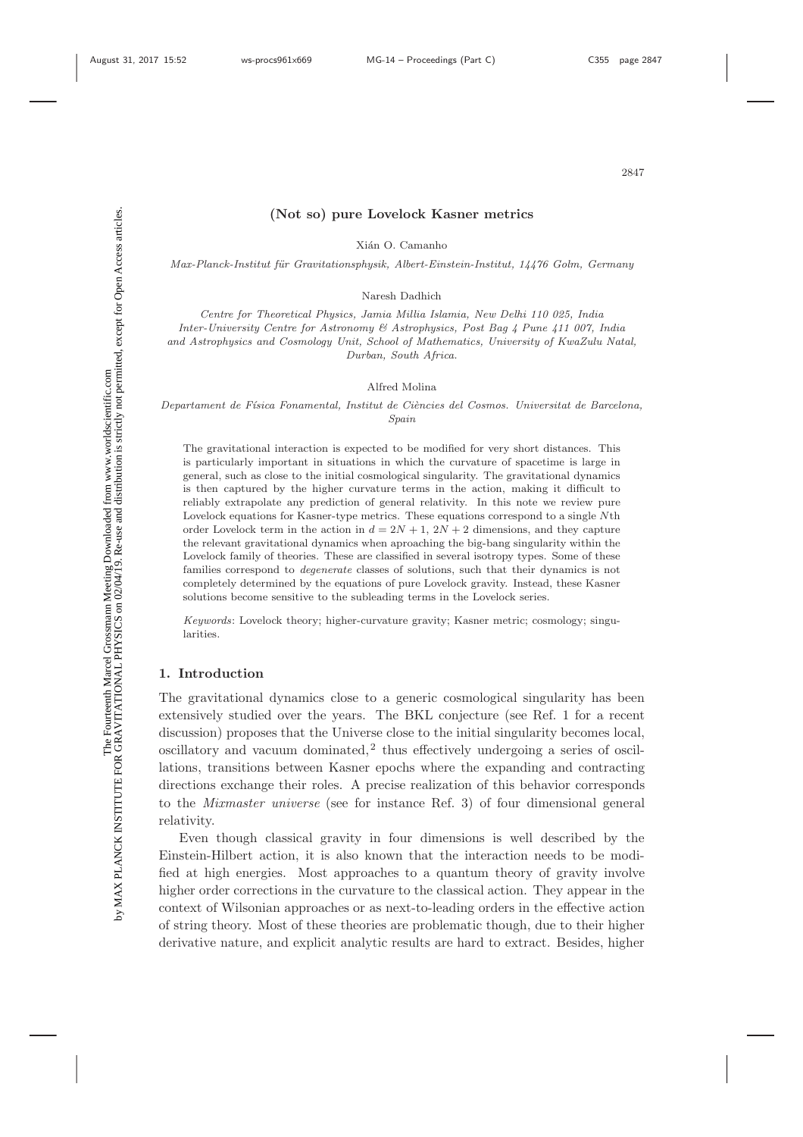Σď

# **(Not so) pure Lovelock Kasner metrics**

Xián O. Camanho

Max-Planck-Institut für Gravitationsphysik, Albert-Einstein-Institut, 14476 Golm, Germany

Naresh Dadhich

Centre for Theoretical Physics, Jamia Millia Islamia, New Delhi 110 025, India Inter-University Centre for Astronomy & Astrophysics, Post Bag 4 Pune 411 007, India and Astrophysics and Cosmology Unit, School of Mathematics, University of KwaZulu Natal, Durban, South Africa.

#### Alfred Molina

Departament de Física Fonamental, Institut de Ciències del Cosmos. Universitat de Barcelona, Spain

The gravitational interaction is expected to be modified for very short distances. This is particularly important in situations in which the curvature of spacetime is large in general, such as close to the initial cosmological singularity. The gravitational dynamics is then captured by the higher curvature terms in the action, making it difficult to reliably extrapolate any prediction of general relativity. In this note we review pure Lovelock equations for Kasner-type metrics. These equations correspond to a single Nth order Lovelock term in the action in  $d = 2N + 1$ ,  $2N + 2$  dimensions, and they capture the relevant gravitational dynamics when aproaching the big-bang singularity within the Lovelock family of theories. These are classified in several isotropy types. Some of these families correspond to degenerate classes of solutions, such that their dynamics is not completely determined by the equations of pure Lovelock gravity. Instead, these Kasner solutions become sensitive to the subleading terms in the Lovelock series.

Keywords: Lovelock theory; higher-curvature gravity; Kasner metric; cosmology; singularities.

## **1. Introduction**

The gravitational dynamics close to a generic cosmological singularity has been extensively studied over the years. The BKL conjecture (see Ref. 1 for a recent discussion) proposes that the Universe close to the initial singularity becomes local, oscillatory and vacuum dominated,<sup>2</sup> thus effectively undergoing a series of oscillations, transitions between Kasner epochs where the expanding and contracting directions exchange their roles. A precise realization of this behavior corresponds to the *Mixmaster universe* (see for instance Ref. 3) of four dimensional general relativity.

Even though classical gravity in four dimensions is well described by the Einstein-Hilbert action, it is also known that the interaction needs to be modified at high energies. Most approaches to a quantum theory of gravity involve higher order corrections in the curvature to the classical action. They appear in the context of Wilsonian approaches or as next-to-leading orders in the effective action of string theory. Most of these theories are problematic though, due to their higher derivative nature, and explicit analytic results are hard to extract. Besides, higher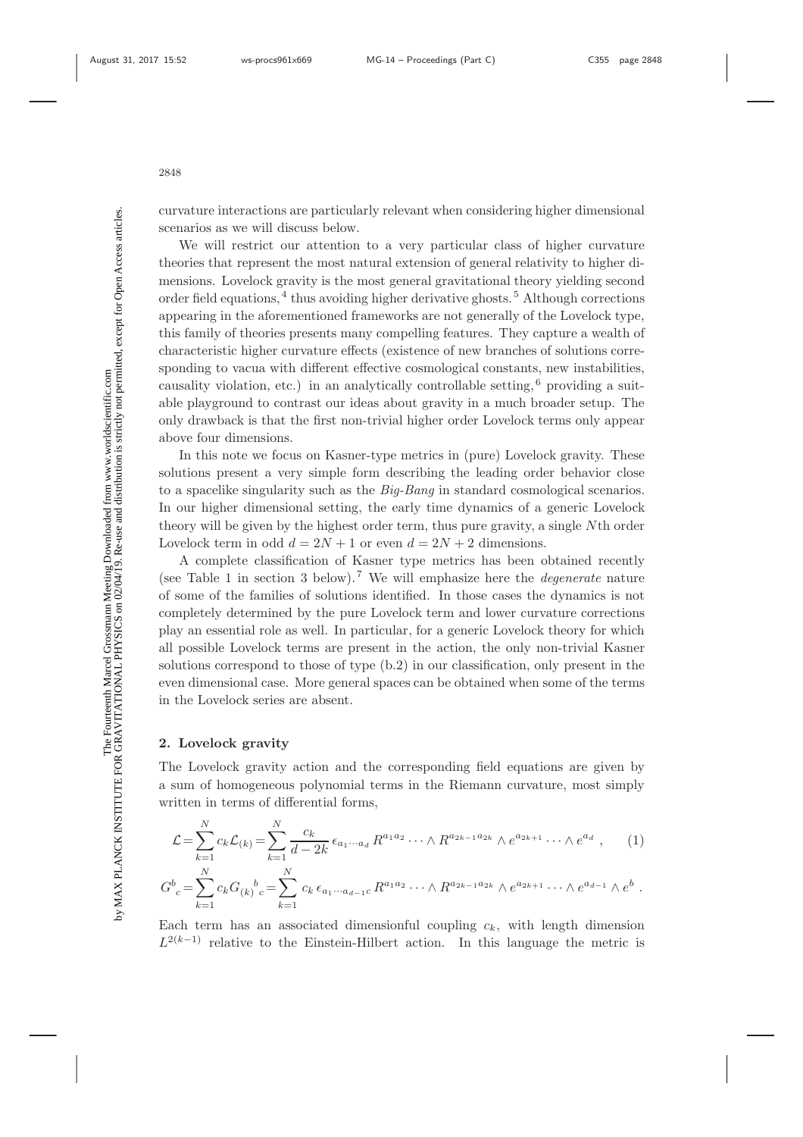curvature interactions are particularly relevant when considering higher dimensional scenarios as we will discuss below.

We will restrict our attention to a very particular class of higher curvature theories that represent the most natural extension of general relativity to higher dimensions. Lovelock gravity is the most general gravitational theory yielding second order field equations,  $4$  thus avoiding higher derivative ghosts.<sup>5</sup> Although corrections appearing in the aforementioned frameworks are not generally of the Lovelock type, this family of theories presents many compelling features. They capture a wealth of characteristic higher curvature effects (existence of new branches of solutions corresponding to vacua with different effective cosmological constants, new instabilities, causality violation, etc.) in an analytically controllable setting,  $6$  providing a suitable playground to contrast our ideas about gravity in a much broader setup. The only drawback is that the first non-trivial higher order Lovelock terms only appear above four dimensions.

In this note we focus on Kasner-type metrics in (pure) Lovelock gravity. These solutions present a very simple form describing the leading order behavior close to a spacelike singularity such as the *Big-Bang* in standard cosmological scenarios. In our higher dimensional setting, the early time dynamics of a generic Lovelock theory will be given by the highest order term, thus pure gravity, a single Nth order Lovelock term in odd  $d = 2N + 1$  or even  $d = 2N + 2$  dimensions.

A complete classification of Kasner type metrics has been obtained recently (see Table 1 in section 3 below).<sup>7</sup> We will emphasize here the *degenerate* nature of some of the families of solutions identified. In those cases the dynamics is not completely determined by the pure Lovelock term and lower curvature corrections play an essential role as well. In particular, for a generic Lovelock theory for which all possible Lovelock terms are present in the action, the only non-trivial Kasner solutions correspond to those of type (b.2) in our classification, only present in the even dimensional case. More general spaces can be obtained when some of the terms in the Lovelock series are absent.

### **2. Lovelock gravity**

The Lovelock gravity action and the corresponding field equations are given by a sum of homogeneous polynomial terms in the Riemann curvature, most simply written in terms of differential forms,

$$
\mathcal{L} = \sum_{k=1}^{N} c_k \mathcal{L}_{(k)} = \sum_{k=1}^{N} \frac{c_k}{d - 2k} \epsilon_{a_1 \cdots a_d} R^{a_1 a_2} \cdots \wedge R^{a_{2k-1} a_{2k}} \wedge e^{a_{2k+1}} \cdots \wedge e^{a_d} , \qquad (1)
$$

$$
G^b{}_c = \sum_{k=1}^{N} c_k G_{(k)}{}^b{}_c = \sum_{k=1}^{N} c_k \epsilon_{a_1 \cdots a_{d-1} c} R^{a_1 a_2} \cdots \wedge R^{a_{2k-1} a_{2k}} \wedge e^{a_{2k+1}} \cdots \wedge e^{a_{d-1}} \wedge e^b .
$$

Each term has an associated dimensionful coupling  $c_k$ , with length dimension  $L^{2(k-1)}$  relative to the Einstein-Hilbert action. In this language the metric is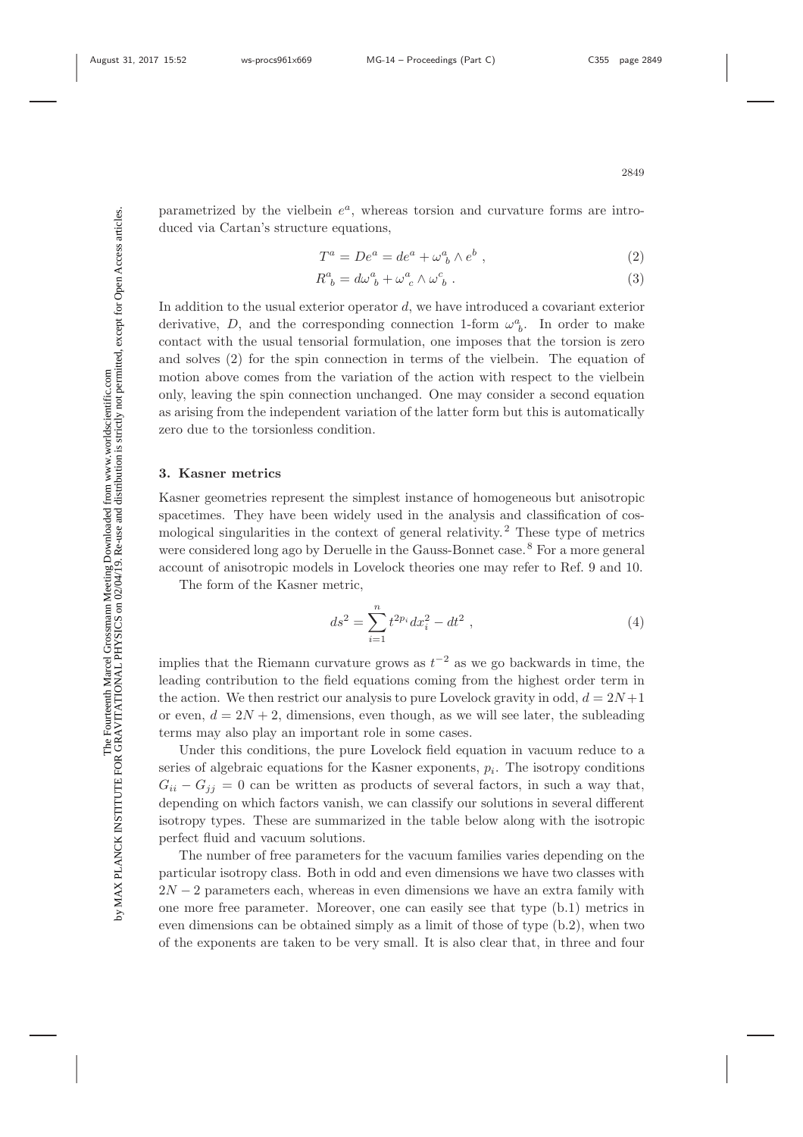Σď

parametrized by the vielbein  $e^a$ , whereas torsion and curvature forms are introduced via Cartan's structure equations,

$$
T^a = De^a = de^a + \omega^a_{\ b} \wedge e^b \ , \tag{2}
$$

$$
R^{a}_{\ b} = d\omega^{a}_{\ b} + \omega^{a}_{\ c} \wedge \omega^{c}_{\ b} \ . \tag{3}
$$

In addition to the usual exterior operator d, we have introduced a covariant exterior derivative, D, and the corresponding connection 1-form  $\omega_b^a$ . In order to make contact with the usual tensorial formulation, one imposes that the torsion is zero and solves (2) for the spin connection in terms of the vielbein. The equation of motion above comes from the variation of the action with respect to the vielbein only, leaving the spin connection unchanged. One may consider a second equation as arising from the independent variation of the latter form but this is automatically zero due to the torsionless condition.

# **3. Kasner metrics**

Kasner geometries represent the simplest instance of homogeneous but anisotropic spacetimes. They have been widely used in the analysis and classification of cosmological singularities in the context of general relativity.<sup>2</sup> These type of metrics were considered long ago by Deruelle in the Gauss-Bonnet case.<sup>8</sup> For a more general account of anisotropic models in Lovelock theories one may refer to Ref. 9 and 10.

The form of the Kasner metric,

$$
ds^2 = \sum_{i=1}^n t^{2p_i} dx_i^2 - dt^2 \t\t(4)
$$

implies that the Riemann curvature grows as  $t^{-2}$  as we go backwards in time, the leading contribution to the field equations coming from the highest order term in the action. We then restrict our analysis to pure Lovelock gravity in odd,  $d = 2N + 1$ or even,  $d = 2N + 2$ , dimensions, even though, as we will see later, the subleading terms may also play an important role in some cases.

Under this conditions, the pure Lovelock field equation in vacuum reduce to a series of algebraic equations for the Kasner exponents,  $p_i$ . The isotropy conditions  $G_{ii} - G_{jj} = 0$  can be written as products of several factors, in such a way that, depending on which factors vanish, we can classify our solutions in several different isotropy types. These are summarized in the table below along with the isotropic perfect fluid and vacuum solutions.

The number of free parameters for the vacuum families varies depending on the particular isotropy class. Both in odd and even dimensions we have two classes with  $2N-2$  parameters each, whereas in even dimensions we have an extra family with one more free parameter. Moreover, one can easily see that type (b.1) metrics in even dimensions can be obtained simply as a limit of those of type (b.2), when two of the exponents are taken to be very small. It is also clear that, in three and four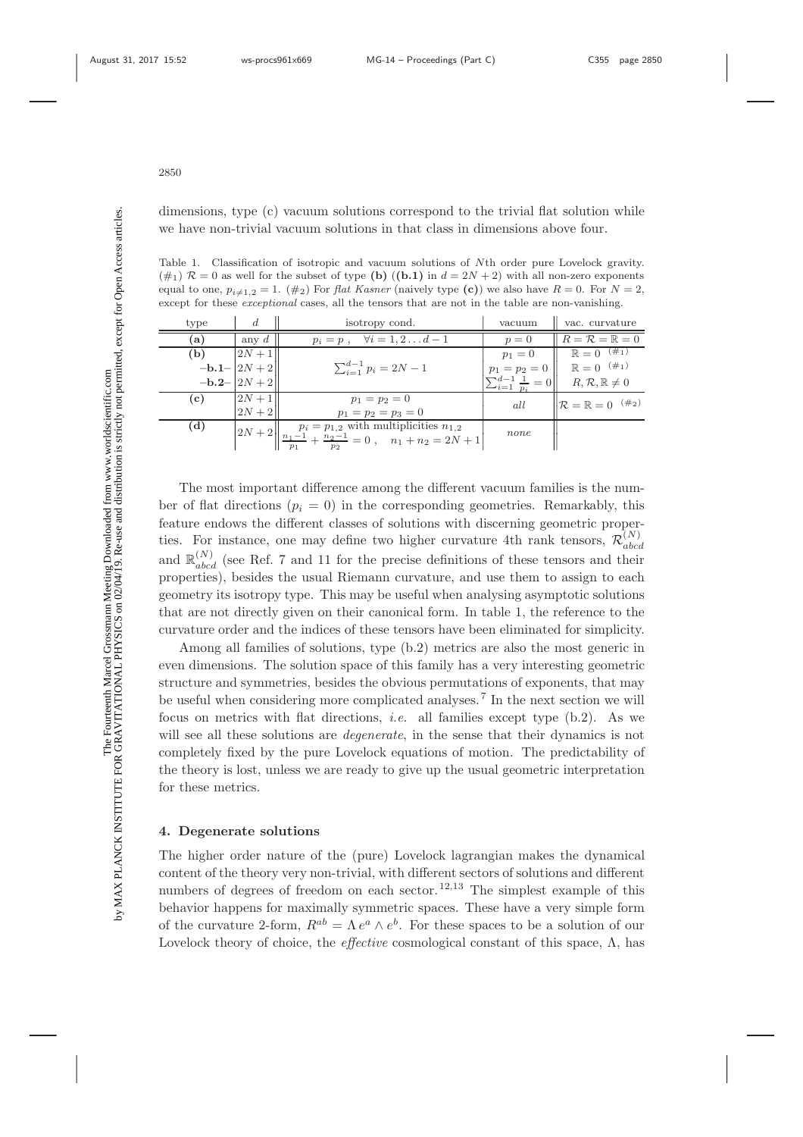ż

dimensions, type (c) vacuum solutions correspond to the trivial flat solution while we have non-trivial vacuum solutions in that class in dimensions above four.

Table 1. Classification of isotropic and vacuum solutions of Nth order pure Lovelock gravity.  $(\#_1)$   $\mathcal{R} = 0$  as well for the subset of type **(b)**  $((b.1)$  in  $d = 2N + 2)$  with all non-zero exponents equal to one,  $p_{i\neq 1,2} = 1$ . (#2) For *flat Kasner* (naively type (c)) we also have  $R = 0$ . For  $N = 2$ , except for these *exceptional* cases, all the tensors that are not in the table are non-vanishing.

| type | d                 | isotropy cond.                                                                                   | vacuum                               | vac. curvature                           |
|------|-------------------|--------------------------------------------------------------------------------------------------|--------------------------------------|------------------------------------------|
| (a)  | any $d$           | $\forall i=1,2\ldots d-1$<br>$p_i = p$ ,                                                         | $p=0$                                | $R = \mathcal{R} = \mathbb{R} = 0$       |
| (b)  | $ 2N+1 $          |                                                                                                  | $p_1 = 0$                            | $\mathbb{R} = 0^{-(\#_1)}$               |
|      | $-b.1 -  2N + 2 $ | $\sum_{i=1}^{d-1} p_i = 2N-1$                                                                    | $p_1 = p_2 = 0$                      | $\mathbb{R} = 0^{-(\#_1)}$               |
|      | $-b.2 -  2N + 2 $ |                                                                                                  | $\sum_{i=1}^{d-1} \frac{1}{p_i} = 0$ | $R, \mathcal{R}, \mathbb{R} \neq 0$      |
| (c)  | $2N + 1$          | $p_1 = p_2 = 0$                                                                                  | all                                  | $\mathcal{R} = \mathbb{R} = 0^{-(\#_2)}$ |
|      | $2N+2\mathsf{I}$  | $p_1 = p_2 = p_3 = 0$                                                                            |                                      |                                          |
| (d)  |                   | $2N+2\left \frac{p_i=p_{1,2}}{\frac{n_1-1}{n_1}+\frac{n_2-1}{n_2}}=0\right , \quad n_1+n_2=2N+1$ | none                                 |                                          |
|      |                   |                                                                                                  |                                      |                                          |

The most important difference among the different vacuum families is the number of flat directions ( $p_i = 0$ ) in the corresponding geometries. Remarkably, this feature endows the different classes of solutions with discerning geometric properties. For instance, one may define two higher curvature 4th rank tensors,  $\mathcal{R}_{abcd}^{(N)}$ and  $\mathbb{R}_{abcd}^{(N)}$  (see Ref. 7 and 11 for the precise definitions of these tensors and their properties), besides the usual Riemann curvature, and use them to assign to each geometry its isotropy type. This may be useful when analysing asymptotic solutions that are not directly given on their canonical form. In table 1, the reference to the curvature order and the indices of these tensors have been eliminated for simplicity.

Among all families of solutions, type (b.2) metrics are also the most generic in even dimensions. The solution space of this family has a very interesting geometric structure and symmetries, besides the obvious permutations of exponents, that may be useful when considering more complicated analyses.<sup>7</sup> In the next section we will focus on metrics with flat directions, *i.e.* all families except type (b.2). As we will see all these solutions are *degenerate*, in the sense that their dynamics is not completely fixed by the pure Lovelock equations of motion. The predictability of the theory is lost, unless we are ready to give up the usual geometric interpretation for these metrics.

### **4. Degenerate solutions**

The higher order nature of the (pure) Lovelock lagrangian makes the dynamical content of the theory very non-trivial, with different sectors of solutions and different numbers of degrees of freedom on each sector.<sup>12,13</sup> The simplest example of this behavior happens for maximally symmetric spaces. These have a very simple form of the curvature 2-form,  $R^{ab} = \Lambda e^a \wedge e^b$ . For these spaces to be a solution of our Lovelock theory of choice, the *effective* cosmological constant of this space, Λ, has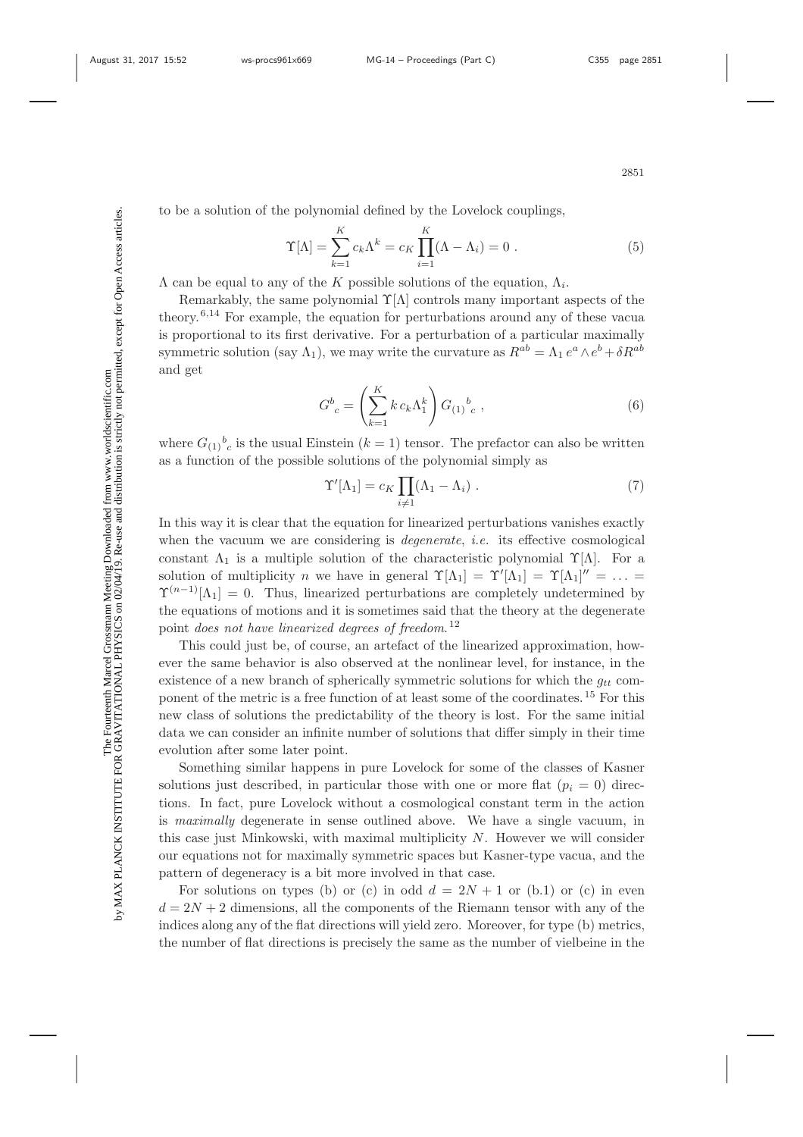Σď

$$
\Upsilon[\Lambda] = \sum_{k=1}^{K} c_k \Lambda^k = c_K \prod_{i=1}^{K} (\Lambda - \Lambda_i) = 0.
$$
\n(5)

 $\Lambda$  can be equal to any of the K possible solutions of the equation,  $\Lambda_i$ .

Remarkably, the same polynomial  $\Upsilon[\Lambda]$  controls many important aspects of the theory.6,14 For example, the equation for perturbations around any of these vacua is proportional to its first derivative. For a perturbation of a particular maximally symmetric solution (say  $\Lambda_1$ ), we may write the curvature as  $R^{ab} = \Lambda_1 e^a \wedge e^b + \delta R^{ab}$ and get

$$
G^{b}_{c} = \left(\sum_{k=1}^{K} k c_k \Lambda_1^k\right) G_{(1)}^{b}_{c} , \qquad (6)
$$

where  $G_{(1)}{}^b{}_c$  is the usual Einstein  $(k = 1)$  tensor. The prefactor can also be written as a function of the possible solutions of the polynomial simply as

$$
\Upsilon'[\Lambda_1] = c_K \prod_{i \neq 1} (\Lambda_1 - \Lambda_i) . \tag{7}
$$

In this way it is clear that the equation for linearized perturbations vanishes exactly when the vacuum we are considering is *degenerate*, *i.e.* its effective cosmological constant  $\Lambda_1$  is a multiple solution of the characteristic polynomial  $\Upsilon[\Lambda]$ . For a solution of multiplicity n we have in general  $\Upsilon[\Lambda_1] = \Upsilon'[\Lambda_1] = \Upsilon[\Lambda_1]'' = \ldots$  $\Upsilon^{(n-1)}[\Lambda_1] = 0$ . Thus, linearized perturbations are completely undetermined by the equations of motions and it is sometimes said that the theory at the degenerate point *does not have linearized degrees of freedom*.<sup>12</sup>

This could just be, of course, an artefact of the linearized approximation, however the same behavior is also observed at the nonlinear level, for instance, in the existence of a new branch of spherically symmetric solutions for which the  $g_{tt}$  component of the metric is a free function of at least some of the coordinates.<sup>15</sup> For this new class of solutions the predictability of the theory is lost. For the same initial data we can consider an infinite number of solutions that differ simply in their time evolution after some later point.

Something similar happens in pure Lovelock for some of the classes of Kasner solutions just described, in particular those with one or more flat  $(p_i = 0)$  directions. In fact, pure Lovelock without a cosmological constant term in the action is *maximally* degenerate in sense outlined above. We have a single vacuum, in this case just Minkowski, with maximal multiplicity N. However we will consider our equations not for maximally symmetric spaces but Kasner-type vacua, and the pattern of degeneracy is a bit more involved in that case.

For solutions on types (b) or (c) in odd  $d = 2N + 1$  or (b.1) or (c) in even  $d = 2N + 2$  dimensions, all the components of the Riemann tensor with any of the indices along any of the flat directions will yield zero. Moreover, for type (b) metrics, the number of flat directions is precisely the same as the number of vielbeine in the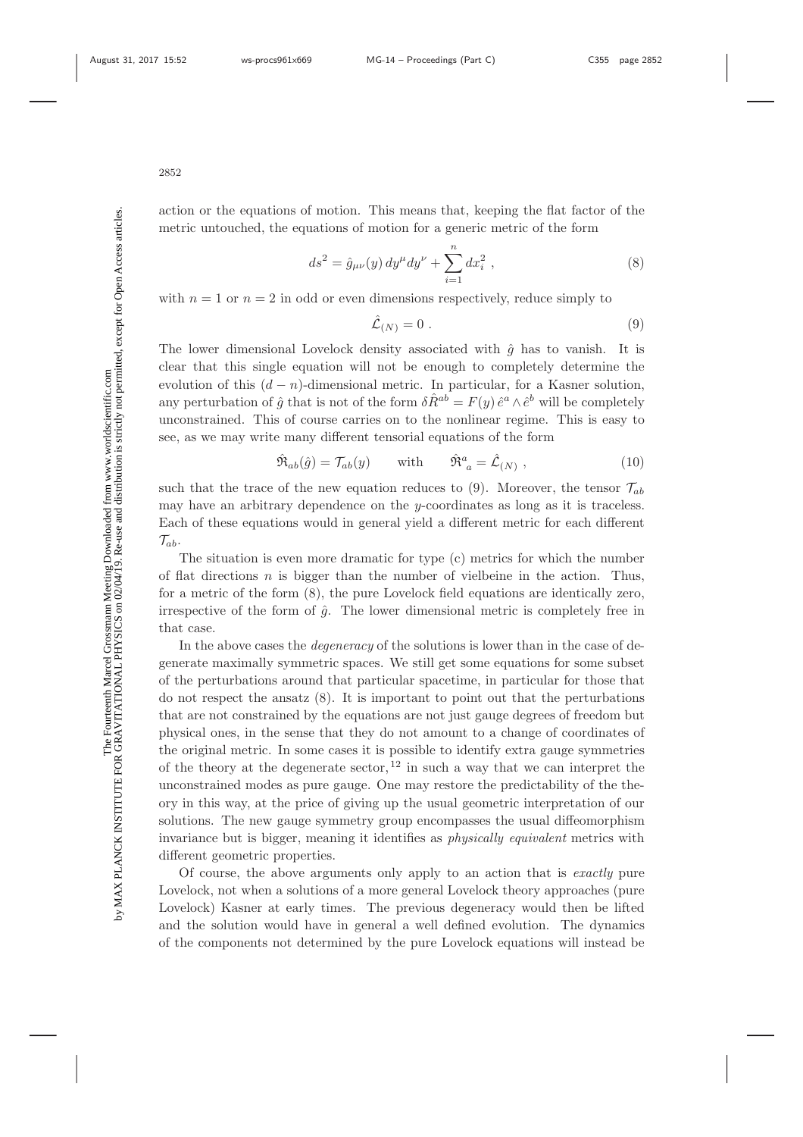Σ

action or the equations of motion. This means that, keeping the flat factor of the metric untouched, the equations of motion for a generic metric of the form

$$
ds^{2} = \hat{g}_{\mu\nu}(y) dy^{\mu} dy^{\nu} + \sum_{i=1}^{n} dx_{i}^{2} , \qquad (8)
$$

with  $n = 1$  or  $n = 2$  in odd or even dimensions respectively, reduce simply to

$$
\hat{\mathcal{L}}_{(N)} = 0 \tag{9}
$$

The lower dimensional Lovelock density associated with  $\hat{g}$  has to vanish. It is clear that this single equation will not be enough to completely determine the evolution of this  $(d - n)$ -dimensional metric. In particular, for a Kasner solution, any perturbation of  $\hat{g}$  that is not of the form  $\delta \hat{R}^{ab} = F(y) \hat{e}^a \wedge \hat{e}^b$  will be completely unconstrained. This of course carries on to the nonlinear regime. This is easy to see, as we may write many different tensorial equations of the form

$$
\hat{\mathfrak{R}}_{ab}(\hat{g}) = \mathcal{T}_{ab}(y) \quad \text{with} \quad \hat{\mathfrak{R}}^a_{\ a} = \hat{\mathcal{L}}_{(N)} \,, \tag{10}
$$

such that the trace of the new equation reduces to (9). Moreover, the tensor  $\mathcal{T}_{ab}$ may have an arbitrary dependence on the  $y$ -coordinates as long as it is traceless. Each of these equations would in general yield a different metric for each different  $\mathcal{T}_{ab}$ .

The situation is even more dramatic for type (c) metrics for which the number of flat directions  $n$  is bigger than the number of vielbeine in the action. Thus, for a metric of the form (8), the pure Lovelock field equations are identically zero, irrespective of the form of  $\hat{g}$ . The lower dimensional metric is completely free in that case.

In the above cases the *degeneracy* of the solutions is lower than in the case of degenerate maximally symmetric spaces. We still get some equations for some subset of the perturbations around that particular spacetime, in particular for those that do not respect the ansatz (8). It is important to point out that the perturbations that are not constrained by the equations are not just gauge degrees of freedom but physical ones, in the sense that they do not amount to a change of coordinates of the original metric. In some cases it is possible to identify extra gauge symmetries of the theory at the degenerate sector,  $12$  in such a way that we can interpret the unconstrained modes as pure gauge. One may restore the predictability of the theory in this way, at the price of giving up the usual geometric interpretation of our solutions. The new gauge symmetry group encompasses the usual diffeomorphism invariance but is bigger, meaning it identifies as *physically equivalent* metrics with different geometric properties.

Of course, the above arguments only apply to an action that is *exactly* pure Lovelock, not when a solutions of a more general Lovelock theory approaches (pure Lovelock) Kasner at early times. The previous degeneracy would then be lifted and the solution would have in general a well defined evolution. The dynamics of the components not determined by the pure Lovelock equations will instead be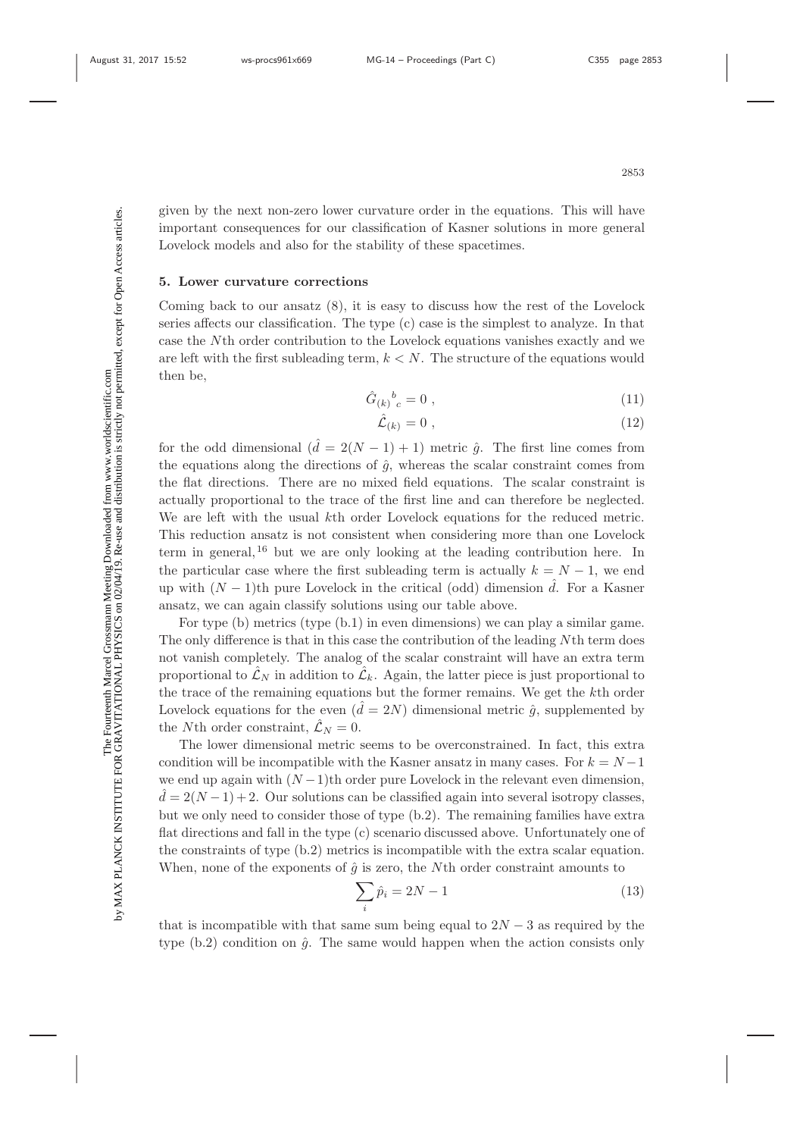given by the next non-zero lower curvature order in the equations. This will have important consequences for our classification of Kasner solutions in more general Lovelock models and also for the stability of these spacetimes.

### **5. Lower curvature corrections**

Coming back to our ansatz (8), it is easy to discuss how the rest of the Lovelock series affects our classification. The type (c) case is the simplest to analyze. In that case the Nth order contribution to the Lovelock equations vanishes exactly and we are left with the first subleading term,  $k < N$ . The structure of the equations would then be,

$$
\hat{G}_{(k)}{}^{b}_{c} = 0 \tag{11}
$$

$$
\hat{\mathcal{L}}_{(k)} = 0 \tag{12}
$$

for the odd dimensional  $(\hat{d} = 2(N-1) + 1)$  metric  $\hat{g}$ . The first line comes from the equations along the directions of  $\hat{g}$ , whereas the scalar constraint comes from the flat directions. There are no mixed field equations. The scalar constraint is actually proportional to the trace of the first line and can therefore be neglected. We are left with the usual kth order Lovelock equations for the reduced metric. This reduction ansatz is not consistent when considering more than one Lovelock term in general,<sup>16</sup> but we are only looking at the leading contribution here. In the particular case where the first subleading term is actually  $k = N - 1$ , we end up with  $(N-1)$ th pure Lovelock in the critical (odd) dimension  $\hat{d}$ . For a Kasner ansatz, we can again classify solutions using our table above.

For type (b) metrics (type (b.1) in even dimensions) we can play a similar game. The only difference is that in this case the contribution of the leading Nth term does not vanish completely. The analog of the scalar constraint will have an extra term proportional to  $\mathcal{L}_N$  in addition to  $\mathcal{L}_k$ . Again, the latter piece is just proportional to the trace of the remaining equations but the former remains. We get the kth order Lovelock equations for the even  $(\hat{d} = 2N)$  dimensional metric  $\hat{g}$ , supplemented by the Nth order constraint,  $\mathcal{L}_N = 0$ .

The lower dimensional metric seems to be overconstrained. In fact, this extra condition will be incompatible with the Kasner ansatz in many cases. For  $k = N - 1$ we end up again with  $(N-1)$ th order pure Lovelock in the relevant even dimension,  $\hat{d} = 2(N-1) + 2$ . Our solutions can be classified again into several isotropy classes, but we only need to consider those of type (b.2). The remaining families have extra flat directions and fall in the type (c) scenario discussed above. Unfortunately one of the constraints of type (b.2) metrics is incompatible with the extra scalar equation. When, none of the exponents of  $\hat{g}$  is zero, the Nth order constraint amounts to

$$
\sum_{i} \hat{p}_i = 2N - 1\tag{13}
$$

that is incompatible with that same sum being equal to  $2N-3$  as required by the type  $(b.2)$  condition on  $\hat{g}$ . The same would happen when the action consists only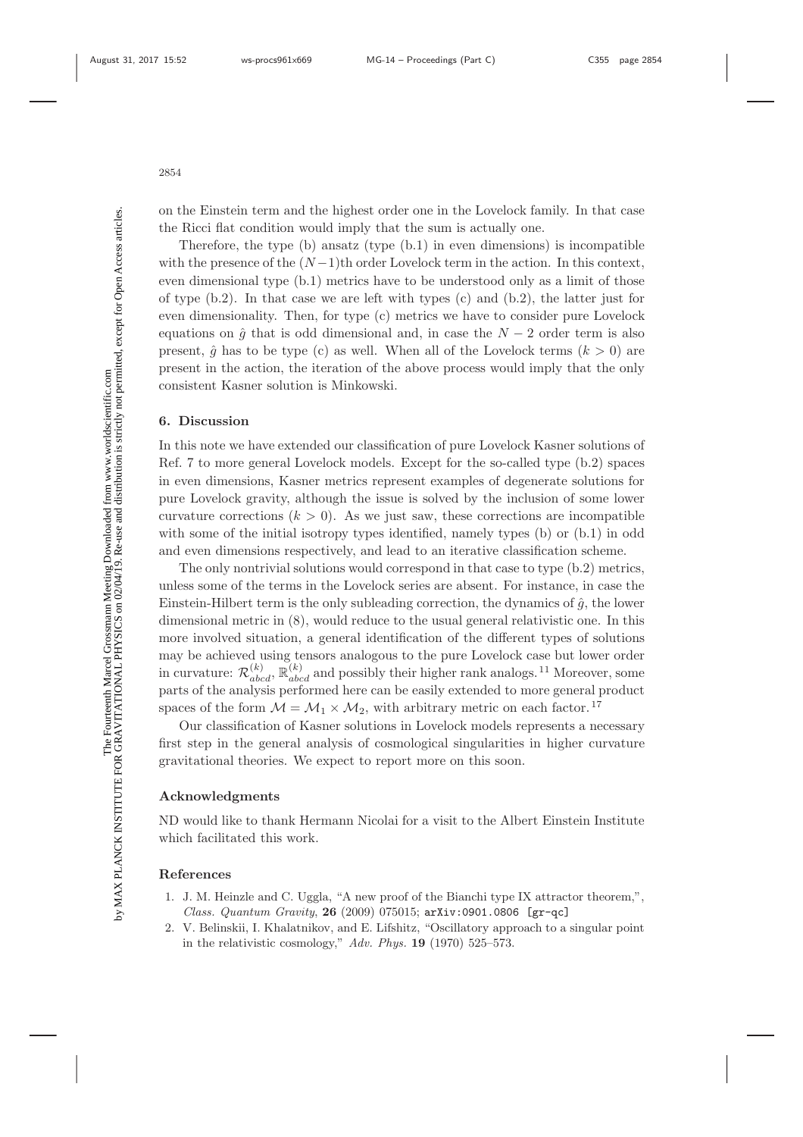on the Einstein term and the highest order one in the Lovelock family. In that case the Ricci flat condition would imply that the sum is actually one.

Therefore, the type  $(b)$  ansatz (type  $(b.1)$ ) in even dimensions) is incompatible with the presence of the  $(N-1)$ th order Lovelock term in the action. In this context, even dimensional type (b.1) metrics have to be understood only as a limit of those of type  $(b.2)$ . In that case we are left with types  $(c)$  and  $(b.2)$ , the latter just for even dimensionality. Then, for type (c) metrics we have to consider pure Lovelock equations on  $\hat{g}$  that is odd dimensional and, in case the  $N-2$  order term is also present,  $\hat{g}$  has to be type (c) as well. When all of the Lovelock terms  $(k > 0)$  are present in the action, the iteration of the above process would imply that the only consistent Kasner solution is Minkowski.

## **6. Discussion**

In this note we have extended our classification of pure Lovelock Kasner solutions of Ref. 7 to more general Lovelock models. Except for the so-called type (b.2) spaces in even dimensions, Kasner metrics represent examples of degenerate solutions for pure Lovelock gravity, although the issue is solved by the inclusion of some lower curvature corrections  $(k > 0)$ . As we just saw, these corrections are incompatible with some of the initial isotropy types identified, namely types (b) or  $(b.1)$  in odd and even dimensions respectively, and lead to an iterative classification scheme.

The only nontrivial solutions would correspond in that case to type (b.2) metrics, unless some of the terms in the Lovelock series are absent. For instance, in case the Einstein-Hilbert term is the only subleading correction, the dynamics of  $\hat{g}$ , the lower dimensional metric in (8), would reduce to the usual general relativistic one. In this more involved situation, a general identification of the different types of solutions may be achieved using tensors analogous to the pure Lovelock case but lower order in curvature:  $\mathcal{R}_{abcd}^{(k)}$ ,  $\mathbb{R}_{abcd}^{(k)}$  and possibly their higher rank analogs.<sup>11</sup> Moreover, some parts of the analysis performed here can be easily extended to more general product spaces of the form  $M = M_1 \times M_2$ , with arbitrary metric on each factor.<sup>17</sup>

Our classification of Kasner solutions in Lovelock models represents a necessary first step in the general analysis of cosmological singularities in higher curvature gravitational theories. We expect to report more on this soon.

## **Acknowledgments**

ND would like to thank Hermann Nicolai for a visit to the Albert Einstein Institute which facilitated this work.

#### **References**

- 1. J. M. Heinzle and C. Uggla, "A new proof of the Bianchi type IX attractor theorem,", Class. Quantum Gravity, **26** (2009) 075015; arXiv:0901.0806 [gr-qc]
- 2. V. Belinskii, I. Khalatnikov, and E. Lifshitz, "Oscillatory approach to a singular point in the relativistic cosmology," Adv. Phys. **19** (1970) 525–573.

Σď